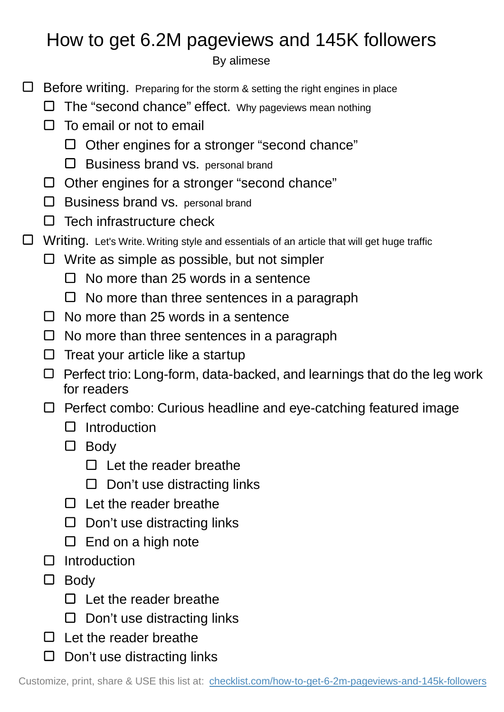## How to get 6.2M pageviews and 145K followers

By alimese

- $\Box$  Before writing. Preparing for the storm & setting the right engines in place
	- $\Box$  The "second chance" effect. Why pageviews mean nothing
	- $\Box$  To email or not to email
		- $\Box$  Other engines for a stronger "second chance"
		- $\square$  Business brand vs. personal brand
	- $\Box$  Other engines for a stronger "second chance"
	- $\Box$  Business brand vs. personal brand
	- $\Box$  Tech infrastructure check
- □ Writing. Let's Write. Writing style and essentials of an article that will get huge traffic
	- $\Box$  Write as simple as possible, but not simpler
		- $\Box$  No more than 25 words in a sentence
		- $\Box$  No more than three sentences in a paragraph
	- $\Box$  No more than 25 words in a sentence
	- $\Box$  No more than three sentences in a paragraph
	- $\Box$  Treat your article like a startup
	- $\Box$  Perfect trio: Long-form, data-backed, and learnings that do the leg work for readers
	- $\Box$  Perfect combo: Curious headline and eye-catching featured image
		- $\Box$  Introduction
		- D Body
			- $\Box$  Let the reader breathe
			- $\Box$  Don't use distracting links
		- $\Box$  Let the reader breathe
		- $\Box$  Don't use distracting links
		- $\square$  End on a high note
	- $\Box$  Introduction
	- $\square$  Body
		- $\Box$  Let the reader breathe
		- $\Box$  Don't use distracting links
	- $\Box$  Let the reader breathe
	- $\square$  Don't use distracting links